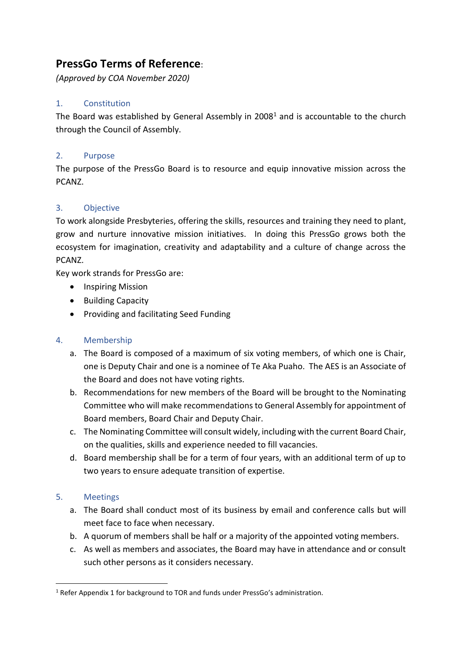# **PressGo Terms of Reference**:

*(Approved by COA November 2020)*

## 1. Constitution

The Board was established by General Assembly in  $2008<sup>1</sup>$  and is accountable to the church through the Council of Assembly.

## 2. Purpose

The purpose of the PressGo Board is to resource and equip innovative mission across the PCANZ.

## 3. Objective

To work alongside Presbyteries, offering the skills, resources and training they need to plant, grow and nurture innovative mission initiatives. In doing this PressGo grows both the ecosystem for imagination, creativity and adaptability and a culture of change across the PCANZ.

Key work strands for PressGo are:

- Inspiring Mission
- Building Capacity
- Providing and facilitating Seed Funding

# 4. Membership

- a. The Board is composed of a maximum of six voting members, of which one is Chair, one is Deputy Chair and one is a nominee of Te Aka Puaho. The AES is an Associate of the Board and does not have voting rights.
- b. Recommendations for new members of the Board will be brought to the Nominating Committee who will make recommendations to General Assembly for appointment of Board members, Board Chair and Deputy Chair.
- c. The Nominating Committee will consult widely, including with the current Board Chair, on the qualities, skills and experience needed to fill vacancies.
- d. Board membership shall be for a term of four years, with an additional term of up to two years to ensure adequate transition of expertise.

## 5. Meetings

- a. The Board shall conduct most of its business by email and conference calls but will meet face to face when necessary.
- b. A quorum of members shall be half or a majority of the appointed voting members.
- c. As well as members and associates, the Board may have in attendance and or consult such other persons as it considers necessary.

<sup>&</sup>lt;sup>1</sup> Refer Appendix 1 for background to TOR and funds under PressGo's administration.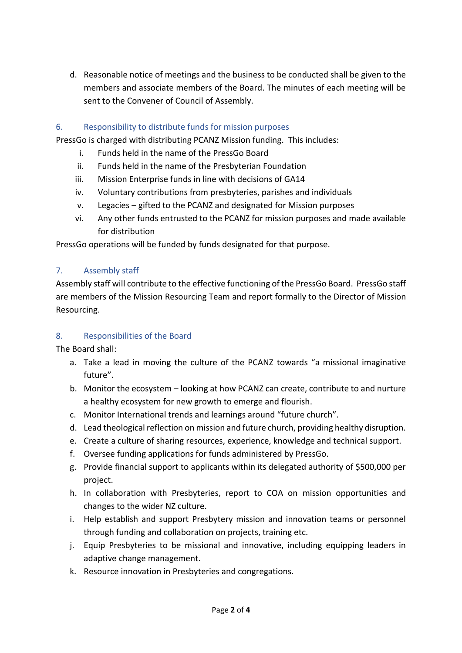d. Reasonable notice of meetings and the business to be conducted shall be given to the members and associate members of the Board. The minutes of each meeting will be sent to the Convener of Council of Assembly.

## 6. Responsibility to distribute funds for mission purposes

PressGo is charged with distributing PCANZ Mission funding. This includes:

- i. Funds held in the name of the PressGo Board
- ii. Funds held in the name of the Presbyterian Foundation
- iii. Mission Enterprise funds in line with decisions of GA14
- iv. Voluntary contributions from presbyteries, parishes and individuals
- v. Legacies gifted to the PCANZ and designated for Mission purposes
- vi. Any other funds entrusted to the PCANZ for mission purposes and made available for distribution

PressGo operations will be funded by funds designated for that purpose.

## 7. Assembly staff

Assembly staff will contribute to the effective functioning of the PressGo Board. PressGo staff are members of the Mission Resourcing Team and report formally to the Director of Mission Resourcing.

## 8. Responsibilities of the Board

The Board shall:

- a. Take a lead in moving the culture of the PCANZ towards "a missional imaginative future".
- b. Monitor the ecosystem looking at how PCANZ can create, contribute to and nurture a healthy ecosystem for new growth to emerge and flourish.
- c. Monitor International trends and learnings around "future church".
- d. Lead theological reflection on mission and future church, providing healthy disruption.
- e. Create a culture of sharing resources, experience, knowledge and technical support.
- f. Oversee funding applications for funds administered by PressGo.
- g. Provide financial support to applicants within its delegated authority of \$500,000 per project.
- h. In collaboration with Presbyteries, report to COA on mission opportunities and changes to the wider NZ culture.
- i. Help establish and support Presbytery mission and innovation teams or personnel through funding and collaboration on projects, training etc.
- j. Equip Presbyteries to be missional and innovative, including equipping leaders in adaptive change management.
- k. Resource innovation in Presbyteries and congregations.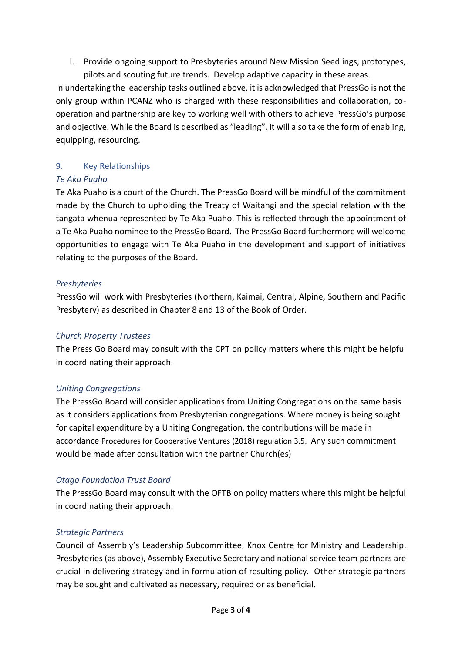l. Provide ongoing support to Presbyteries around New Mission Seedlings, prototypes, pilots and scouting future trends. Develop adaptive capacity in these areas.

In undertaking the leadership tasks outlined above, it is acknowledged that PressGo is not the only group within PCANZ who is charged with these responsibilities and collaboration, cooperation and partnership are key to working well with others to achieve PressGo's purpose and objective. While the Board is described as "leading", it will also take the form of enabling, equipping, resourcing.

## 9. Key Relationships

## *Te Aka Puaho*

Te Aka Puaho is a court of the Church. The PressGo Board will be mindful of the commitment made by the Church to upholding the Treaty of Waitangi and the special relation with the tangata whenua represented by Te Aka Puaho. This is reflected through the appointment of a Te Aka Puaho nominee to the PressGo Board. The PressGo Board furthermore will welcome opportunities to engage with Te Aka Puaho in the development and support of initiatives relating to the purposes of the Board.

## *Presbyteries*

PressGo will work with Presbyteries (Northern, Kaimai, Central, Alpine, Southern and Pacific Presbytery) as described in Chapter 8 and 13 of the Book of Order.

# *Church Property Trustees*

The Press Go Board may consult with the CPT on policy matters where this might be helpful in coordinating their approach.

## *Uniting Congregations*

The PressGo Board will consider applications from Uniting Congregations on the same basis as it considers applications from Presbyterian congregations. Where money is being sought for capital expenditure by a Uniting Congregation, the contributions will be made in accordance Procedures for Cooperative Ventures (2018) regulation 3.5. Any such commitment would be made after consultation with the partner Church(es)

## *Otago Foundation Trust Board*

The PressGo Board may consult with the OFTB on policy matters where this might be helpful in coordinating their approach.

## *Strategic Partners*

Council of Assembly's Leadership Subcommittee, Knox Centre for Ministry and Leadership, Presbyteries (as above), Assembly Executive Secretary and national service team partners are crucial in delivering strategy and in formulation of resulting policy. Other strategic partners may be sought and cultivated as necessary, required or as beneficial.